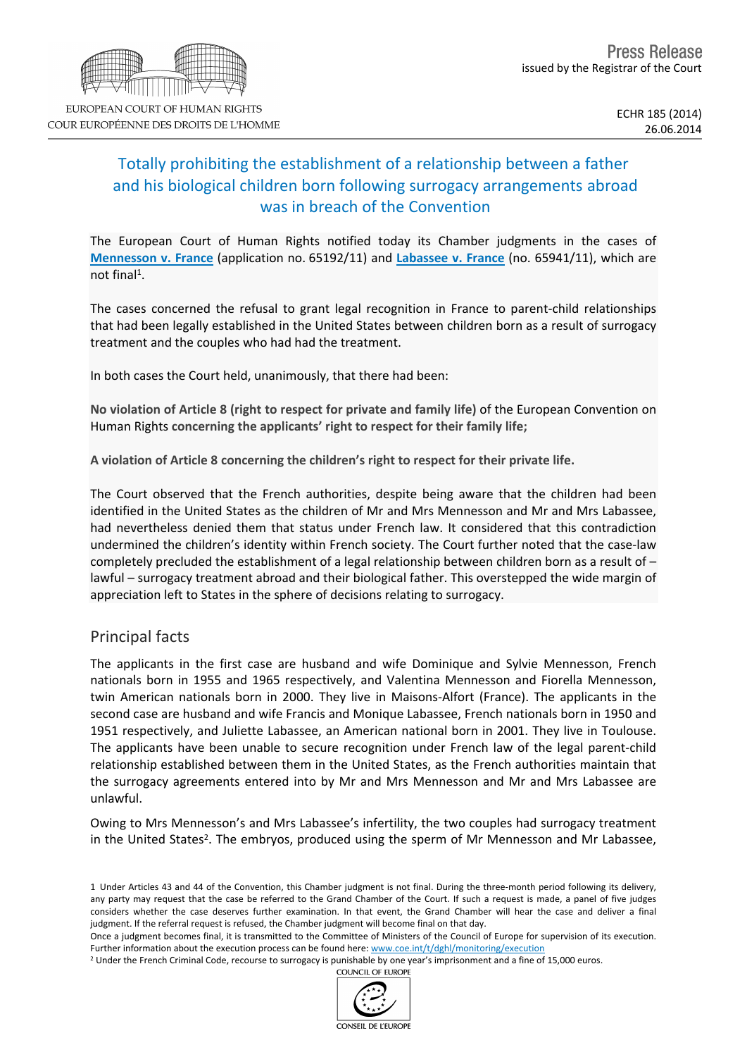# Totally prohibiting the establishment of a relationship between a father and his biological children born following surrogacy arrangements abroad was in breach of the Convention

The European Court of Human Rights notified today its Chamber judgments in the cases of **[Mennesson](http://hudoc.echr.coe.int/sites/eng/pages/search.aspx?i=001-145179*) [v.](http://hudoc.echr.coe.int/sites/eng/pages/search.aspx?i=001-145179*) [France](http://hudoc.echr.coe.int/sites/eng/pages/search.aspx?i=001-145179*)** (application no. 65192/11) and **[Labassee](http://hudoc.echr.coe.int/sites/eng/pages/search.aspx?i=001-145180*) [v.](http://hudoc.echr.coe.int/sites/eng/pages/search.aspx?i=001-145180*) [France](http://hudoc.echr.coe.int/sites/eng/pages/search.aspx?i=001-145180*)** (no. 65941/11), which are not final<sup>1</sup>.

The cases concerned the refusal to grant legal recognition in France to parent-child relationships that had been legally established in the United States between children born as a result of surrogacy treatment and the couples who had had the treatment.

In both cases the Court held, unanimously, that there had been:

**No violation of Article 8 (right to respect for private and family life)** of the European Convention on Human Rights **concerning the applicants' right to respect for their family life;**

**A violation of Article 8 concerning the children's right to respect for their private life.**

The Court observed that the French authorities, despite being aware that the children had been identified in the United States as the children of Mr and Mrs Mennesson and Mr and Mrs Labassee, had nevertheless denied them that status under French law. It considered that this contradiction undermined the children's identity within French society. The Court further noted that the case-law completely precluded the establishment of a legal relationship between children born as a result of – lawful – surrogacy treatment abroad and their biological father. This overstepped the wide margin of appreciation left to States in the sphere of decisions relating to surrogacy.

### Principal facts

The applicants in the first case are husband and wife Dominique and Sylvie Mennesson, French nationals born in 1955 and 1965 respectively, and Valentina Mennesson and Fiorella Mennesson, twin American nationals born in 2000. They live in Maisons-Alfort (France). The applicants in the second case are husband and wife Francis and Monique Labassee, French nationals born in 1950 and 1951 respectively, and Juliette Labassee, an American national born in 2001. They live in Toulouse. The applicants have been unable to secure recognition under French law of the legal parent-child relationship established between them in the United States, as the French authorities maintain that the surrogacy agreements entered into by Mr and Mrs Mennesson and Mr and Mrs Labassee are unlawful.

Owing to Mrs Mennesson's and Mrs Labassee's infertility, the two couples had surrogacy treatment in the United States<sup>2</sup>. The embryos, produced using the sperm of Mr Mennesson and Mr Labassee,

<sup>2</sup> Under the French Criminal Code, recourse to surrogacy is punishable by one year's imprisonment and a fine of 15,000 euros.

COUNCIL OF EUROPI



<sup>1</sup> Under Articles 43 and 44 of the Convention, this Chamber judgment is not final. During the three-month period following its delivery, any party may request that the case be referred to the Grand Chamber of the Court. If such a request is made, a panel of five judges considers whether the case deserves further examination. In that event, the Grand Chamber will hear the case and deliver a final judgment. If the referral request is refused, the Chamber judgment will become final on that day.

Once a judgment becomes final, it is transmitted to the Committee of Ministers of the Council of Europe for supervision of its execution. Further information about the execution process can be found here: [www.coe.int/t/dghl/monitoring/execution](http://www.coe.int/t/dghl/monitoring/execution)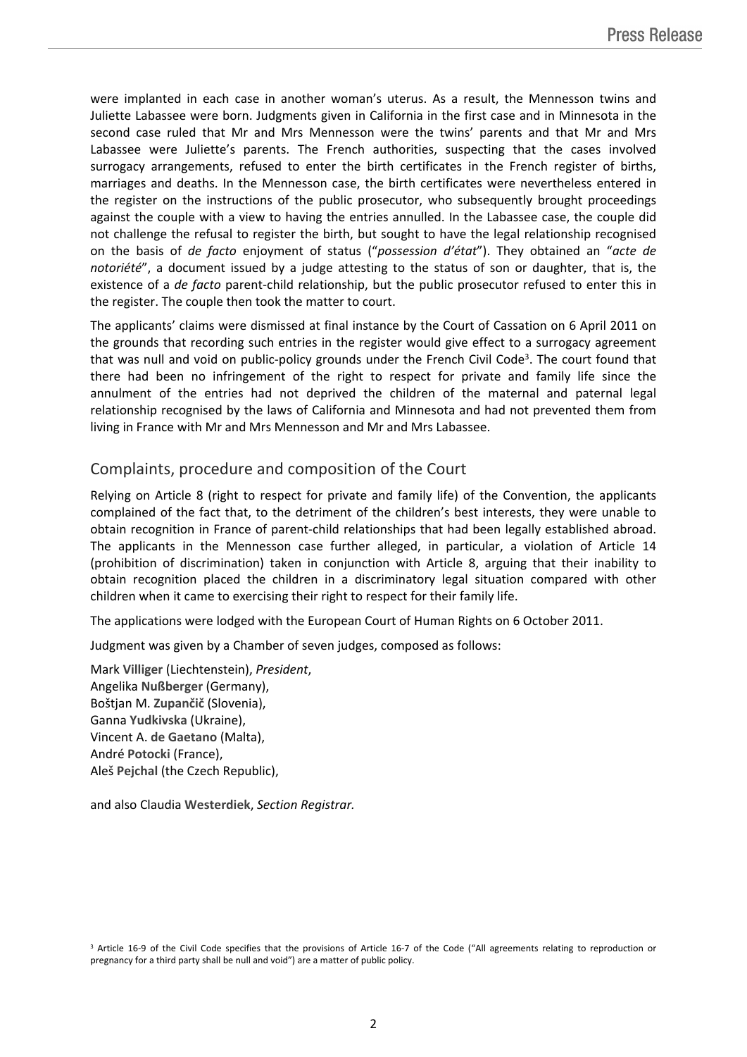were implanted in each case in another woman's uterus. As a result, the Mennesson twins and Juliette Labassee were born. Judgments given in California in the first case and in Minnesota in the second case ruled that Mr and Mrs Mennesson were the twins' parents and that Mr and Mrs Labassee were Juliette's parents. The French authorities, suspecting that the cases involved surrogacy arrangements, refused to enter the birth certificates in the French register of births, marriages and deaths. In the Mennesson case, the birth certificates were nevertheless entered in the register on the instructions of the public prosecutor, who subsequently brought proceedings against the couple with a view to having the entries annulled. In the Labassee case, the couple did not challenge the refusal to register the birth, but sought to have the legal relationship recognised on the basis of *de facto* enjoyment of status ("*possession d'état*"). They obtained an "*acte de notoriété*", a document issued by a judge attesting to the status of son or daughter, that is, the existence of a *de facto* parent-child relationship, but the public prosecutor refused to enter this in the register. The couple then took the matter to court.

The applicants' claims were dismissed at final instance by the Court of Cassation on 6 April 2011 on the grounds that recording such entries in the register would give effect to a surrogacy agreement that was null and void on public-policy grounds under the French Civil Code<sup>3</sup>. The court found that there had been no infringement of the right to respect for private and family life since the annulment of the entries had not deprived the children of the maternal and paternal legal relationship recognised by the laws of California and Minnesota and had not prevented them from living in France with Mr and Mrs Mennesson and Mr and Mrs Labassee.

## Complaints, procedure and composition of the Court

Relying on Article 8 (right to respect for private and family life) of the Convention, the applicants complained of the fact that, to the detriment of the children's best interests, they were unable to obtain recognition in France of parent-child relationships that had been legally established abroad. The applicants in the Mennesson case further alleged, in particular, a violation of Article 14 (prohibition of discrimination) taken in conjunction with Article 8, arguing that their inability to obtain recognition placed the children in a discriminatory legal situation compared with other children when it came to exercising their right to respect for their family life.

The applications were lodged with the European Court of Human Rights on 6 October 2011.

Judgment was given by a Chamber of seven judges, composed as follows:

Mark **Villiger** (Liechtenstein), *President*, Angelika **Nußberger** (Germany), Boštjan M. **Zupančič** (Slovenia), Ganna **Yudkivska** (Ukraine), Vincent A. **de Gaetano** (Malta), André **Potocki** (France), Aleš **Pejchal** (the Czech Republic),

and also Claudia **Westerdiek**, *Section Registrar.*

<sup>&</sup>lt;sup>3</sup> Article 16-9 of the Civil Code specifies that the provisions of Article 16-7 of the Code ("All agreements relating to reproduction or pregnancy for a third party shall be null and void") are a matter of public policy.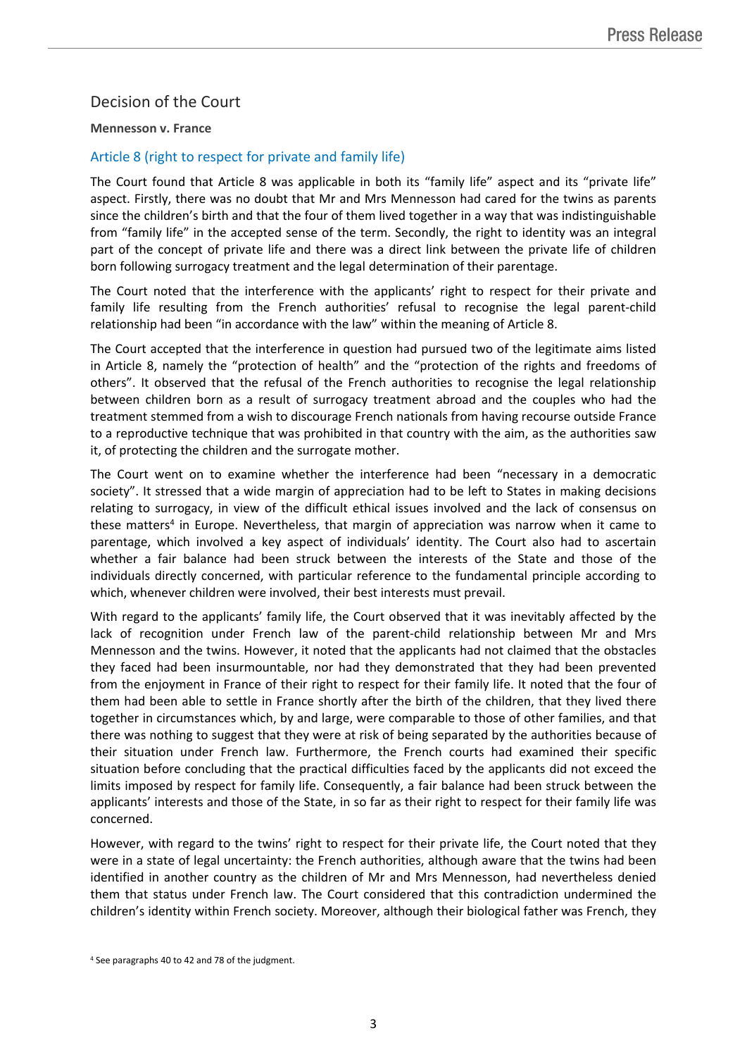## Decision of the Court

#### **Mennesson v. France**

### Article 8 (right to respect for private and family life)

The Court found that Article 8 was applicable in both its "family life" aspect and its "private life" aspect. Firstly, there was no doubt that Mr and Mrs Mennesson had cared for the twins as parents since the children's birth and that the four of them lived together in a way that was indistinguishable from "family life" in the accepted sense of the term. Secondly, the right to identity was an integral part of the concept of private life and there was a direct link between the private life of children born following surrogacy treatment and the legal determination of their parentage.

The Court noted that the interference with the applicants' right to respect for their private and family life resulting from the French authorities' refusal to recognise the legal parent-child relationship had been "in accordance with the law" within the meaning of Article 8.

The Court accepted that the interference in question had pursued two of the legitimate aims listed in Article 8, namely the "protection of health" and the "protection of the rights and freedoms of others". It observed that the refusal of the French authorities to recognise the legal relationship between children born as a result of surrogacy treatment abroad and the couples who had the treatment stemmed from a wish to discourage French nationals from having recourse outside France to a reproductive technique that was prohibited in that country with the aim, as the authorities saw it, of protecting the children and the surrogate mother.

The Court went on to examine whether the interference had been "necessary in a democratic society". It stressed that a wide margin of appreciation had to be left to States in making decisions relating to surrogacy, in view of the difficult ethical issues involved and the lack of consensus on these matters<sup>4</sup> in Europe. Nevertheless, that margin of appreciation was narrow when it came to parentage, which involved a key aspect of individuals' identity. The Court also had to ascertain whether a fair balance had been struck between the interests of the State and those of the individuals directly concerned, with particular reference to the fundamental principle according to which, whenever children were involved, their best interests must prevail.

With regard to the applicants' family life, the Court observed that it was inevitably affected by the lack of recognition under French law of the parent-child relationship between Mr and Mrs Mennesson and the twins. However, it noted that the applicants had not claimed that the obstacles they faced had been insurmountable, nor had they demonstrated that they had been prevented from the enjoyment in France of their right to respect for their family life. It noted that the four of them had been able to settle in France shortly after the birth of the children, that they lived there together in circumstances which, by and large, were comparable to those of other families, and that there was nothing to suggest that they were at risk of being separated by the authorities because of their situation under French law. Furthermore, the French courts had examined their specific situation before concluding that the practical difficulties faced by the applicants did not exceed the limits imposed by respect for family life. Consequently, a fair balance had been struck between the applicants' interests and those of the State, in so far as their right to respect for their family life was concerned.

However, with regard to the twins' right to respect for their private life, the Court noted that they were in a state of legal uncertainty: the French authorities, although aware that the twins had been identified in another country as the children of Mr and Mrs Mennesson, had nevertheless denied them that status under French law. The Court considered that this contradiction undermined the children's identity within French society. Moreover, although their biological father was French, they

<sup>4</sup> See paragraphs 40 to 42 and 78 of the judgment.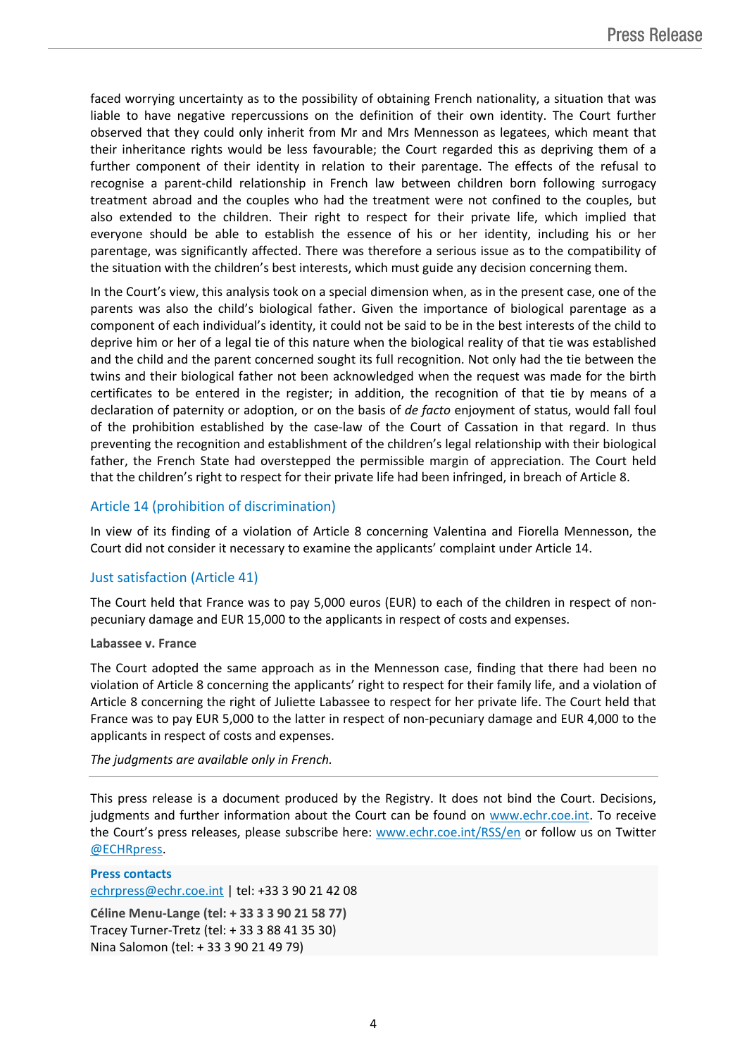faced worrying uncertainty as to the possibility of obtaining French nationality, a situation that was liable to have negative repercussions on the definition of their own identity. The Court further observed that they could only inherit from Mr and Mrs Mennesson as legatees, which meant that their inheritance rights would be less favourable; the Court regarded this as depriving them of a further component of their identity in relation to their parentage. The effects of the refusal to recognise a parent-child relationship in French law between children born following surrogacy treatment abroad and the couples who had the treatment were not confined to the couples, but also extended to the children. Their right to respect for their private life, which implied that everyone should be able to establish the essence of his or her identity, including his or her parentage, was significantly affected. There was therefore a serious issue as to the compatibility of the situation with the children's best interests, which must guide any decision concerning them.

In the Court's view, this analysis took on a special dimension when, as in the present case, one of the parents was also the child's biological father. Given the importance of biological parentage as a component of each individual's identity, it could not be said to be in the best interests of the child to deprive him or her of a legal tie of this nature when the biological reality of that tie was established and the child and the parent concerned sought its full recognition. Not only had the tie between the twins and their biological father not been acknowledged when the request was made for the birth certificates to be entered in the register; in addition, the recognition of that tie by means of a declaration of paternity or adoption, or on the basis of *de facto* enjoyment of status, would fall foul of the prohibition established by the case-law of the Court of Cassation in that regard. In thus preventing the recognition and establishment of the children's legal relationship with their biological father, the French State had overstepped the permissible margin of appreciation. The Court held that the children's right to respect for their private life had been infringed, in breach of Article 8.

#### Article 14 (prohibition of discrimination)

In view of its finding of a violation of Article 8 concerning Valentina and Fiorella Mennesson, the Court did not consider it necessary to examine the applicants' complaint under Article 14.

#### Just satisfaction (Article 41)

The Court held that France was to pay 5,000 euros (EUR) to each of the children in respect of nonpecuniary damage and EUR 15,000 to the applicants in respect of costs and expenses.

#### **Labassee v. France**

The Court adopted the same approach as in the Mennesson case, finding that there had been no violation of Article 8 concerning the applicants' right to respect for their family life, and a violation of Article 8 concerning the right of Juliette Labassee to respect for her private life. The Court held that France was to pay EUR 5,000 to the latter in respect of non-pecuniary damage and EUR 4,000 to the applicants in respect of costs and expenses.

#### *The judgments are available only in French.*

This press release is a document produced by the Registry. It does not bind the Court. Decisions, judgments and further information about the Court can be found on [www.echr.coe.int](http://www.echr.coe.int/). To receive the Court's press releases, please subscribe here: [www.echr.coe.int/RSS/en](http://www.echr.coe.int/RSS/en) or follow us on Twitter [@ECHRpress.](https://twitter.com/ECHR_Press)

#### **Press contacts**

[echrpress@echr.coe.int](mailto:Echrpress@echr.coe.int) | tel: +33 3 90 21 42 08

**Céline Menu-Lange (tel: + 33 3 3 90 21 58 77)** Tracey Turner-Tretz (tel: + 33 3 88 41 35 30) Nina Salomon (tel: + 33 3 90 21 49 79)